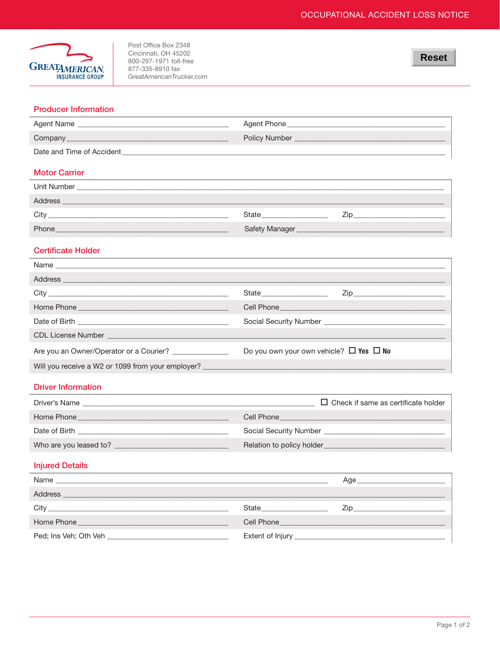

Post Office Box 2348 Cincinnati, OH 45202 800-297-1971 toll-free<br>877-335-8910 fax GreatAmericanTrucker.com

### **Producer Information**

| Agent Name                | Agent Phone          |
|---------------------------|----------------------|
| Company                   | <b>Policy Number</b> |
| Date and Time of Accident |                      |

## **Motor Carrier**

| Unit Number |                |     |
|-------------|----------------|-----|
| Address     |                |     |
| City        | State          | Zio |
| Phone       | Safety Manager |     |

## **Certificate Holder**

 $\ddot{\phantom{a}}$ 

|                                                        | Cell Phone <b>Contract Contract Contract Contract Contract Contract Contract Contract Contract Contract Contract Contract Contract Contract Contract Contract Contract Contract Contract Contract Contract Contract Contract Con</b> |
|--------------------------------------------------------|--------------------------------------------------------------------------------------------------------------------------------------------------------------------------------------------------------------------------------------|
|                                                        |                                                                                                                                                                                                                                      |
|                                                        |                                                                                                                                                                                                                                      |
| Are you an Owner/Operator or a Courier? ______________ | Do you own your own vehicle? $\Box$ Yes $\Box$ No                                                                                                                                                                                    |
|                                                        |                                                                                                                                                                                                                                      |

# **Driver Information**

| Driver's Name                      | $\Box$ Check if same as certificate holder    |
|------------------------------------|-----------------------------------------------|
| Home Phone                         | Cell Phone                                    |
| Date of Birth <b>Exercise 2008</b> | Social Security Number Social Security Number |
| Who are you leased to?             | Relation to policy holder                     |

### **Injured Details**

| Name                                                                                                                                   |            | Aae<br><u> 1989 - Johann John Stone, market französischer Programmen und der Stone und der Stone und der Stone und der S</u> |
|----------------------------------------------------------------------------------------------------------------------------------------|------------|------------------------------------------------------------------------------------------------------------------------------|
| <b>Address</b><br><u> 1990 - Jan James James James James James James James James James James James James James James James James J</u> |            |                                                                                                                              |
|                                                                                                                                        | State      | Zip _________________________                                                                                                |
| Home Phone<br>a sa kabilang na kalawang pangangang pangangang pangangang pangangang pangangang pangangang pangangang pangang           | Cell Phone | a sa kabilang pangalang sa pangalang na pangalang na pangalang na pangalang na pangalang na pangalang na pang                |
|                                                                                                                                        |            |                                                                                                                              |